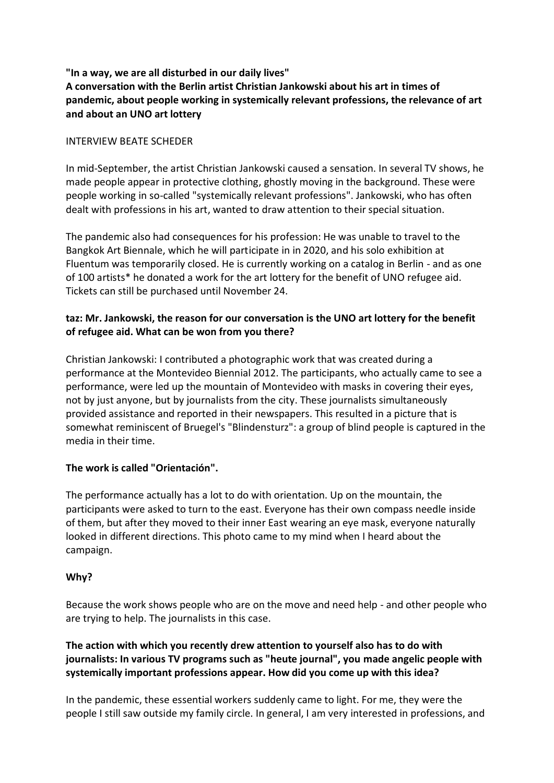# **"In a way, we are all disturbed in our daily lives" A conversation with the Berlin artist Christian Jankowski about his art in times of pandemic, about people working in systemically relevant professions, the relevance of art and about an UNO art lottery**

#### INTERVIEW BEATE SCHEDER

In mid-September, the artist Christian Jankowski caused a sensation. In several TV shows, he made people appear in protective clothing, ghostly moving in the background. These were people working in so-called "systemically relevant professions". Jankowski, who has often dealt with professions in his art, wanted to draw attention to their special situation.

The pandemic also had consequences for his profession: He was unable to travel to the Bangkok Art Biennale, which he will participate in in 2020, and his solo exhibition at Fluentum was temporarily closed. He is currently working on a catalog in Berlin - and as one of 100 artists\* he donated a work for the art lottery for the benefit of UNO refugee aid. Tickets can still be purchased until November 24.

# **taz: Mr. Jankowski, the reason for our conversation is the UNO art lottery for the benefit of refugee aid. What can be won from you there?**

Christian Jankowski: I contributed a photographic work that was created during a performance at the Montevideo Biennial 2012. The participants, who actually came to see a performance, were led up the mountain of Montevideo with masks in covering their eyes, not by just anyone, but by journalists from the city. These journalists simultaneously provided assistance and reported in their newspapers. This resulted in a picture that is somewhat reminiscent of Bruegel's "Blindensturz": a group of blind people is captured in the media in their time.

## **The work is called "Orientación".**

The performance actually has a lot to do with orientation. Up on the mountain, the participants were asked to turn to the east. Everyone has their own compass needle inside of them, but after they moved to their inner East wearing an eye mask, everyone naturally looked in different directions. This photo came to my mind when I heard about the campaign.

## **Why?**

Because the work shows people who are on the move and need help - and other people who are trying to help. The journalists in this case.

# **The action with which you recently drew attention to yourself also has to do with journalists: In various TV programs such as "heute journal", you made angelic people with systemically important professions appear. How did you come up with this idea?**

In the pandemic, these essential workers suddenly came to light. For me, they were the people I still saw outside my family circle. In general, I am very interested in professions, and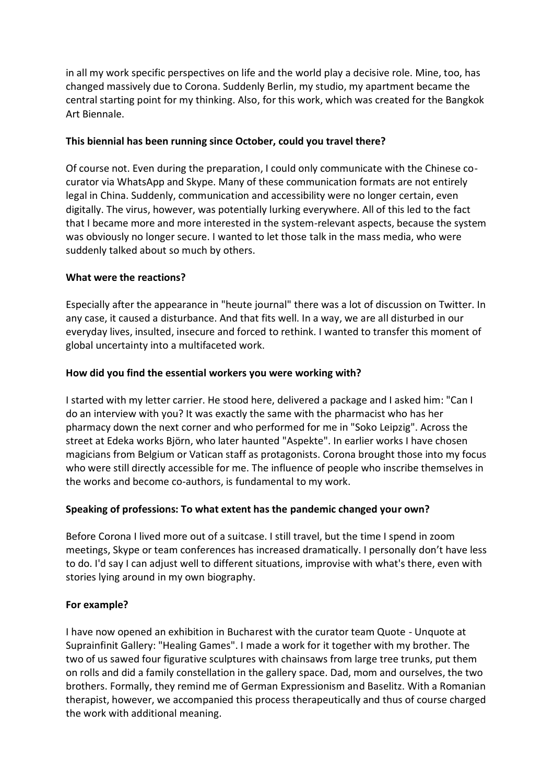in all my work specific perspectives on life and the world play a decisive role. Mine, too, has changed massively due to Corona. Suddenly Berlin, my studio, my apartment became the central starting point for my thinking. Also, for this work, which was created for the Bangkok Art Biennale.

## **This biennial has been running since October, could you travel there?**

Of course not. Even during the preparation, I could only communicate with the Chinese cocurator via WhatsApp and Skype. Many of these communication formats are not entirely legal in China. Suddenly, communication and accessibility were no longer certain, even digitally. The virus, however, was potentially lurking everywhere. All of this led to the fact that I became more and more interested in the system-relevant aspects, because the system was obviously no longer secure. I wanted to let those talk in the mass media, who were suddenly talked about so much by others.

### **What were the reactions?**

Especially after the appearance in "heute journal" there was a lot of discussion on Twitter. In any case, it caused a disturbance. And that fits well. In a way, we are all disturbed in our everyday lives, insulted, insecure and forced to rethink. I wanted to transfer this moment of global uncertainty into a multifaceted work.

### **How did you find the essential workers you were working with?**

I started with my letter carrier. He stood here, delivered a package and I asked him: "Can I do an interview with you? It was exactly the same with the pharmacist who has her pharmacy down the next corner and who performed for me in "Soko Leipzig". Across the street at Edeka works Björn, who later haunted "Aspekte". In earlier works I have chosen magicians from Belgium or Vatican staff as protagonists. Corona brought those into my focus who were still directly accessible for me. The influence of people who inscribe themselves in the works and become co-authors, is fundamental to my work.

## **Speaking of professions: To what extent has the pandemic changed your own?**

Before Corona I lived more out of a suitcase. I still travel, but the time I spend in zoom meetings, Skype or team conferences has increased dramatically. I personally don't have less to do. I'd say I can adjust well to different situations, improvise with what's there, even with stories lying around in my own biography.

#### **For example?**

I have now opened an exhibition in Bucharest with the curator team Quote - Unquote at Suprainfinit Gallery: "Healing Games". I made a work for it together with my brother. The two of us sawed four figurative sculptures with chainsaws from large tree trunks, put them on rolls and did a family constellation in the gallery space. Dad, mom and ourselves, the two brothers. Formally, they remind me of German Expressionism and Baselitz. With a Romanian therapist, however, we accompanied this process therapeutically and thus of course charged the work with additional meaning.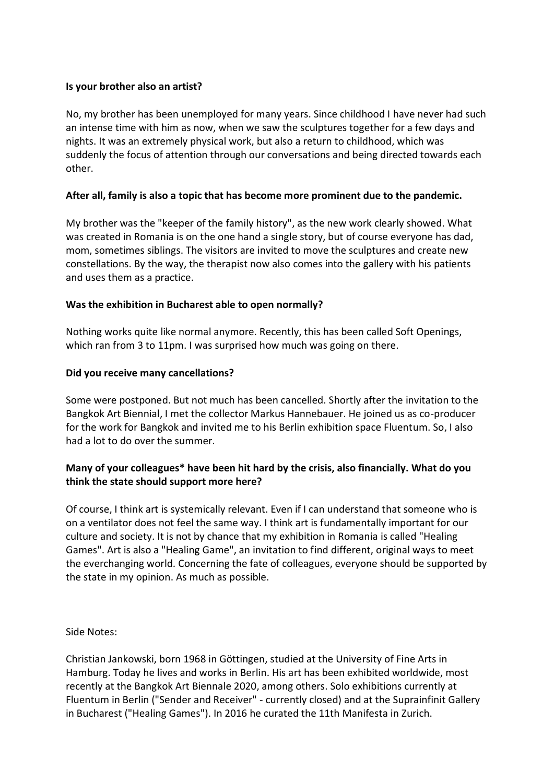### **Is your brother also an artist?**

No, my brother has been unemployed for many years. Since childhood I have never had such an intense time with him as now, when we saw the sculptures together for a few days and nights. It was an extremely physical work, but also a return to childhood, which was suddenly the focus of attention through our conversations and being directed towards each other.

### **After all, family is also a topic that has become more prominent due to the pandemic.**

My brother was the "keeper of the family history", as the new work clearly showed. What was created in Romania is on the one hand a single story, but of course everyone has dad, mom, sometimes siblings. The visitors are invited to move the sculptures and create new constellations. By the way, the therapist now also comes into the gallery with his patients and uses them as a practice.

### **Was the exhibition in Bucharest able to open normally?**

Nothing works quite like normal anymore. Recently, this has been called Soft Openings, which ran from 3 to 11pm. I was surprised how much was going on there.

### **Did you receive many cancellations?**

Some were postponed. But not much has been cancelled. Shortly after the invitation to the Bangkok Art Biennial, I met the collector Markus Hannebauer. He joined us as co-producer for the work for Bangkok and invited me to his Berlin exhibition space Fluentum. So, I also had a lot to do over the summer.

## **Many of your colleagues\* have been hit hard by the crisis, also financially. What do you think the state should support more here?**

Of course, I think art is systemically relevant. Even if I can understand that someone who is on a ventilator does not feel the same way. I think art is fundamentally important for our culture and society. It is not by chance that my exhibition in Romania is called "Healing Games". Art is also a "Healing Game", an invitation to find different, original ways to meet the everchanging world. Concerning the fate of colleagues, everyone should be supported by the state in my opinion. As much as possible.

Side Notes:

Christian Jankowski, born 1968 in Göttingen, studied at the University of Fine Arts in Hamburg. Today he lives and works in Berlin. His art has been exhibited worldwide, most recently at the Bangkok Art Biennale 2020, among others. Solo exhibitions currently at Fluentum in Berlin ("Sender and Receiver" - currently closed) and at the Suprainfinit Gallery in Bucharest ("Healing Games"). In 2016 he curated the 11th Manifesta in Zurich.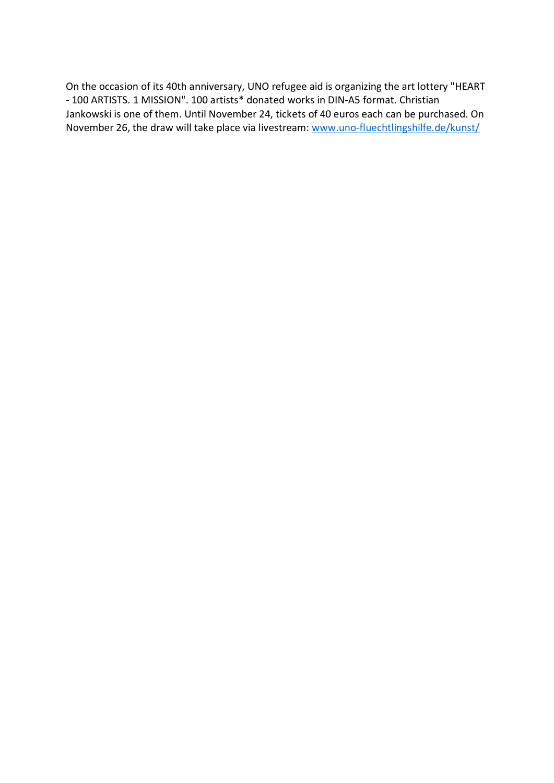On the occasion of its 40th anniversary, UNO refugee aid is organizing the art lottery "HEART - 100 ARTISTS. 1 MISSION". 100 artists\* donated works in DIN-A5 format. Christian Jankowski is one of them. Until November 24, tickets of 40 euros each can be purchased. On November 26, the draw will take place via livestream: [www.uno-fluechtlingshilfe.de/kunst/](http://www.uno-fluechtlingshilfe.de/kunst/)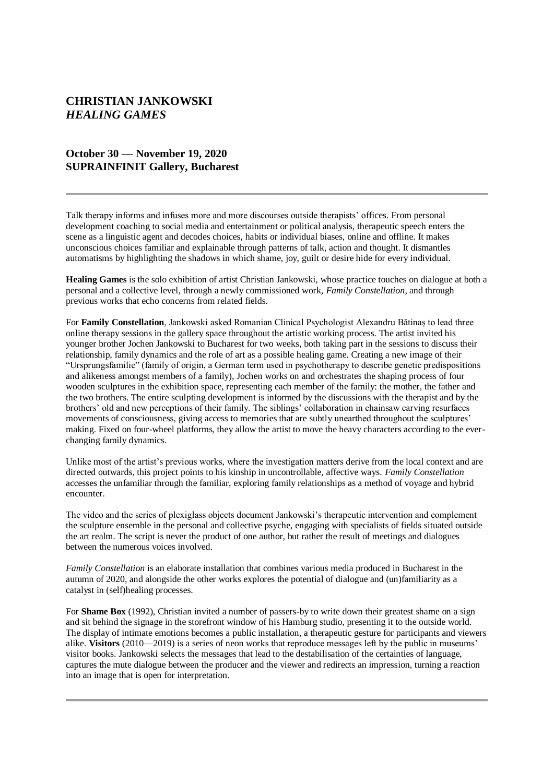# **CHRISTIAN JANKOWSKI** *HEALING GAMES*

### **October 30 — November 19, 2020 SUPRAINFINIT Gallery, Bucharest**

Talk therapy informs and infuses more and more discourses outside therapists' offices. From personal development coaching to social media and entertainment or political analysis, therapeutic speech enters the scene as a linguistic agent and decodes choices, habits or individual biases, online and offline. It makes unconscious choices familiar and explainable through patterns of talk, action and thought. It dismantles automatisms by highlighting the shadows in which shame, joy, guilt or desire hide for every individual.

**Healing Games** is the solo exhibition of artist Christian Jankowski, whose practice touches on dialogue at both a personal and a collective level, through a newly commissioned work, *Family Constellation*, and through previous works that echo concerns from related fields.

For **Family Constellation**, Jankowski asked Romanian Clinical Psychologist Alexandru Bătinaș to lead three online therapy sessions in the gallery space throughout the artistic working process. The artist invited his younger brother Jochen Jankowski to Bucharest for two weeks, both taking part in the sessions to discuss their relationship, family dynamics and the role of art as a possible healing game. Creating a new image of their "Ursprungsfamilie" (family of origin, a German term used in psychotherapy to describe genetic predispositions and alikeness amongst members of a family), Jochen works on and orchestrates the shaping process of four wooden sculptures in the exhibition space, representing each member of the family: the mother, the father and the two brothers. The entire sculpting development is informed by the discussions with the therapist and by the brothers' old and new perceptions of their family. The siblings' collaboration in chainsaw carving resurfaces movements of consciousness, giving access to memories that are subtly unearthed throughout the sculptures' making. Fixed on four-wheel platforms, they allow the artist to move the heavy characters according to the everchanging family dynamics.

Unlike most of the artist's previous works, where the investigation matters derive from the local context and are directed outwards, this project points to his kinship in uncontrollable, affective ways. *Family Constellation*  accesses the unfamiliar through the familiar, exploring family relationships as a method of voyage and hybrid encounter.

The video and the series of plexiglass objects document Jankowski's therapeutic intervention and complement the sculpture ensemble in the personal and collective psyche, engaging with specialists of fields situated outside the art realm. The script is never the product of one author, but rather the result of meetings and dialogues between the numerous voices involved.

*Family Constellation* is an elaborate installation that combines various media produced in Bucharest in the autumn of 2020, and alongside the other works explores the potential of dialogue and (un)familiarity as a catalyst in (self)healing processes.

For **Shame Box** (1992), Christian invited a number of passers-by to write down their greatest shame on a sign and sit behind the signage in the storefront window of his Hamburg studio, presenting it to the outside world. The display of intimate emotions becomes a public installation, a therapeutic gesture for participants and viewers alike. **Visitors** (2010—2019) is a series of neon works that reproduce messages left by the public in museums' visitor books. Jankowski selects the messages that lead to the destabilisation of the certainties of language, captures the mute dialogue between the producer and the viewer and redirects an impression, turning a reaction into an image that is open for interpretation.